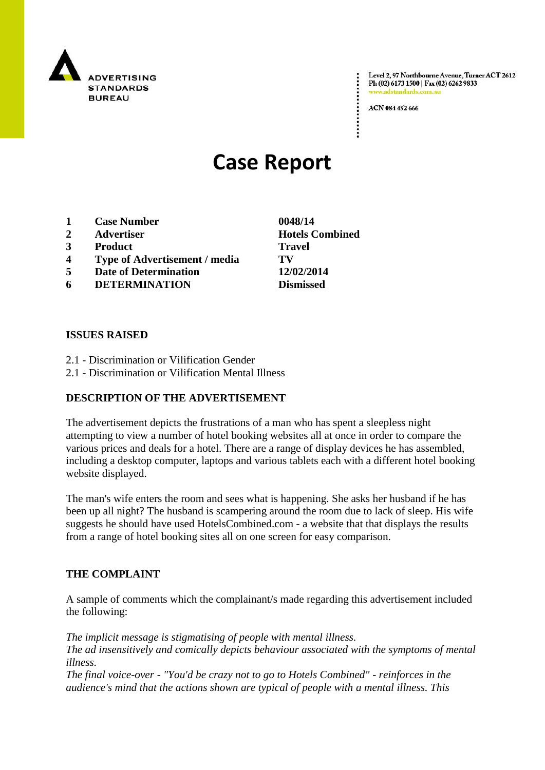

Level 2, 97 Northbourne Avenue, Turner ACT 2612 Ph (02) 6173 1500 | Fax (02) 6262 9833 www.adstandards.co

ACN 084 452 666

# **Case Report**

- **1 Case Number 0048/14**
- **2 Advertiser Hotels Combined**
- **3 Product Travel**
- **4 Type of Advertisement / media TV**
- **5 Date of Determination 12/02/2014**
- **6 DETERMINATION Dismissed**

#### **ISSUES RAISED**

- 2.1 Discrimination or Vilification Gender
- 2.1 Discrimination or Vilification Mental Illness

## **DESCRIPTION OF THE ADVERTISEMENT**

The advertisement depicts the frustrations of a man who has spent a sleepless night attempting to view a number of hotel booking websites all at once in order to compare the various prices and deals for a hotel. There are a range of display devices he has assembled, including a desktop computer, laptops and various tablets each with a different hotel booking website displayed.

The man's wife enters the room and sees what is happening. She asks her husband if he has been up all night? The husband is scampering around the room due to lack of sleep. His wife suggests he should have used HotelsCombined.com - a website that that displays the results from a range of hotel booking sites all on one screen for easy comparison.

## **THE COMPLAINT**

A sample of comments which the complainant/s made regarding this advertisement included the following:

*The implicit message is stigmatising of people with mental illness. The ad insensitively and comically depicts behaviour associated with the symptoms of mental illness.*

*The final voice-over - "You'd be crazy not to go to Hotels Combined" - reinforces in the audience's mind that the actions shown are typical of people with a mental illness. This*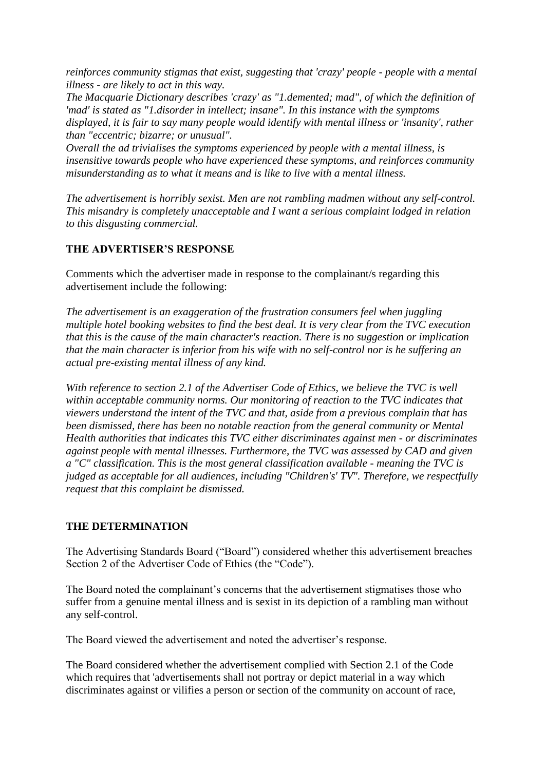*reinforces community stigmas that exist, suggesting that 'crazy' people - people with a mental illness - are likely to act in this way.*

*The Macquarie Dictionary describes 'crazy' as "1.demented; mad", of which the definition of 'mad' is stated as "1.disorder in intellect; insane". In this instance with the symptoms displayed, it is fair to say many people would identify with mental illness or 'insanity', rather than "eccentric; bizarre; or unusual".*

*Overall the ad trivialises the symptoms experienced by people with a mental illness, is insensitive towards people who have experienced these symptoms, and reinforces community misunderstanding as to what it means and is like to live with a mental illness.*

*The advertisement is horribly sexist. Men are not rambling madmen without any self-control. This misandry is completely unacceptable and I want a serious complaint lodged in relation to this disgusting commercial.*

## **THE ADVERTISER'S RESPONSE**

Comments which the advertiser made in response to the complainant/s regarding this advertisement include the following:

*The advertisement is an exaggeration of the frustration consumers feel when juggling multiple hotel booking websites to find the best deal. It is very clear from the TVC execution that this is the cause of the main character's reaction. There is no suggestion or implication that the main character is inferior from his wife with no self-control nor is he suffering an actual pre-existing mental illness of any kind.* 

*With reference to section 2.1 of the Advertiser Code of Ethics, we believe the TVC is well within acceptable community norms. Our monitoring of reaction to the TVC indicates that viewers understand the intent of the TVC and that, aside from a previous complain that has been dismissed, there has been no notable reaction from the general community or Mental Health authorities that indicates this TVC either discriminates against men - or discriminates against people with mental illnesses. Furthermore, the TVC was assessed by CAD and given a "C" classification. This is the most general classification available - meaning the TVC is judged as acceptable for all audiences, including "Children's' TV". Therefore, we respectfully request that this complaint be dismissed.*

#### **THE DETERMINATION**

The Advertising Standards Board ("Board") considered whether this advertisement breaches Section 2 of the Advertiser Code of Ethics (the "Code").

The Board noted the complainant"s concerns that the advertisement stigmatises those who suffer from a genuine mental illness and is sexist in its depiction of a rambling man without any self-control.

The Board viewed the advertisement and noted the advertiser"s response.

The Board considered whether the advertisement complied with Section 2.1 of the Code which requires that 'advertisements shall not portray or depict material in a way which discriminates against or vilifies a person or section of the community on account of race,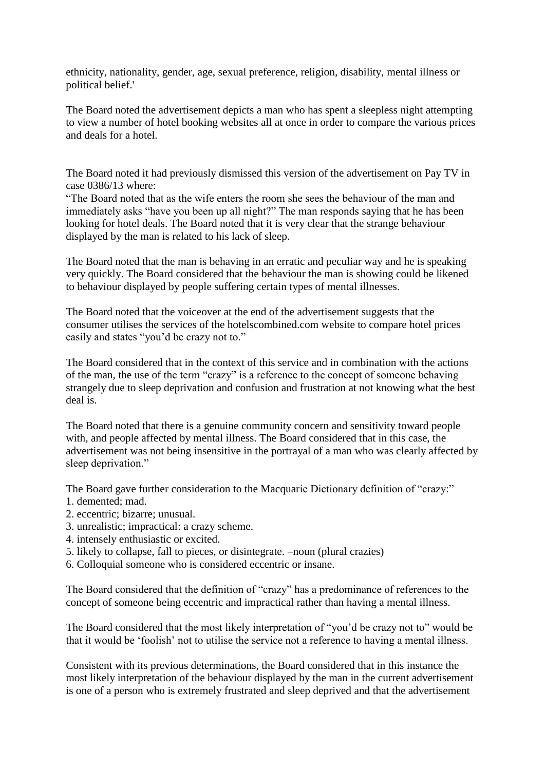ethnicity, nationality, gender, age, sexual preference, religion, disability, mental illness or political belief.'

The Board noted the advertisement depicts a man who has spent a sleepless night attempting to view a number of hotel booking websites all at once in order to compare the various prices and deals for a hotel.

The Board noted it had previously dismissed this version of the advertisement on Pay TV in case 0386/13 where:

"The Board noted that as the wife enters the room she sees the behaviour of the man and immediately asks "have you been up all night?" The man responds saying that he has been looking for hotel deals. The Board noted that it is very clear that the strange behaviour displayed by the man is related to his lack of sleep.

The Board noted that the man is behaving in an erratic and peculiar way and he is speaking very quickly. The Board considered that the behaviour the man is showing could be likened to behaviour displayed by people suffering certain types of mental illnesses.

The Board noted that the voiceover at the end of the advertisement suggests that the consumer utilises the services of the hotelscombined.com website to compare hotel prices easily and states "you"d be crazy not to."

The Board considered that in the context of this service and in combination with the actions of the man, the use of the term "crazy" is a reference to the concept of someone behaving strangely due to sleep deprivation and confusion and frustration at not knowing what the best deal is.

The Board noted that there is a genuine community concern and sensitivity toward people with, and people affected by mental illness. The Board considered that in this case, the advertisement was not being insensitive in the portrayal of a man who was clearly affected by sleep deprivation."

The Board gave further consideration to the Macquarie Dictionary definition of "crazy:"

- 1. demented; mad.
- 2. eccentric; bizarre; unusual.
- 3. unrealistic; impractical: a crazy scheme.
- 4. intensely enthusiastic or excited.
- 5. likely to collapse, fall to pieces, or disintegrate. –noun (plural crazies)
- 6. Colloquial someone who is considered eccentric or insane.

The Board considered that the definition of "crazy" has a predominance of references to the concept of someone being eccentric and impractical rather than having a mental illness.

The Board considered that the most likely interpretation of "you"d be crazy not to" would be that it would be "foolish" not to utilise the service not a reference to having a mental illness.

Consistent with its previous determinations, the Board considered that in this instance the most likely interpretation of the behaviour displayed by the man in the current advertisement is one of a person who is extremely frustrated and sleep deprived and that the advertisement